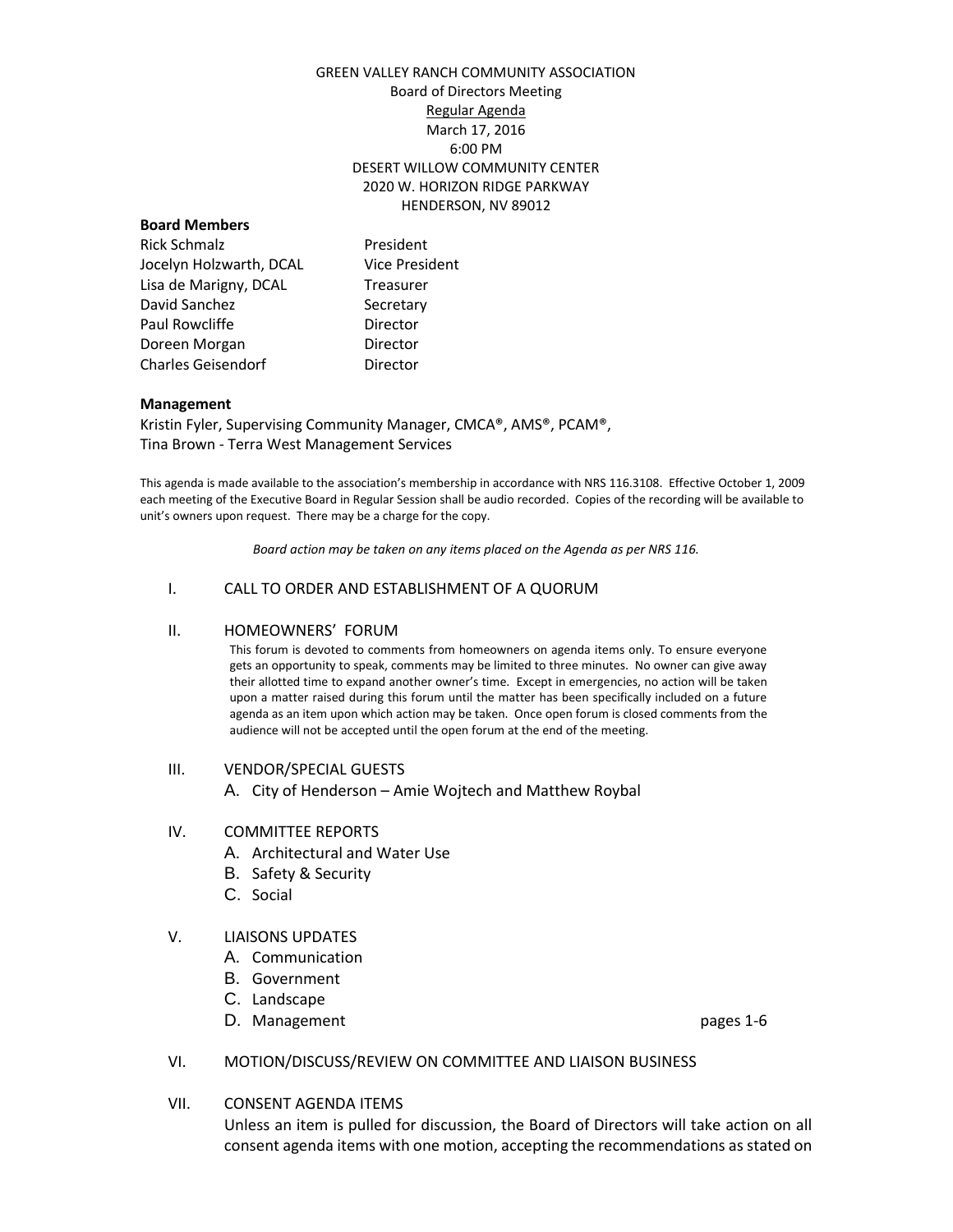### GREEN VALLEY RANCH COMMUNITY ASSOCIATION Board of Directors Meeting Regular Agenda March 17, 2016 6:00 PM DESERT WILLOW COMMUNITY CENTER 2020 W. HORIZON RIDGE PARKWAY HENDERSON, NV 89012

#### **Board Members**

Rick Schmalz **President** Jocelyn Holzwarth, DCAL Vice President Lisa de Marigny, DCAL Treasurer David Sanchez Secretary Paul Rowcliffe **Director** Doreen Morgan **Director** Charles Geisendorf **Director** 

#### **Management**

Kristin Fyler, Supervising Community Manager, CMCA®, AMS®, PCAM®, Tina Brown - Terra West Management Services

This agenda is made available to the association's membership in accordance with NRS 116.3108. Effective October 1, 2009 each meeting of the Executive Board in Regular Session shall be audio recorded. Copies of the recording will be available to unit's owners upon request. There may be a charge for the copy.

*Board action may be taken on any items placed on the Agenda as per NRS 116.*

### I. CALL TO ORDER AND ESTABLISHMENT OF A QUORUM

#### II. HOMEOWNERS' FORUM

This forum is devoted to comments from homeowners on agenda items only. To ensure everyone gets an opportunity to speak, comments may be limited to three minutes. No owner can give away their allotted time to expand another owner's time. Except in emergencies, no action will be taken upon a matter raised during this forum until the matter has been specifically included on a future agenda as an item upon which action may be taken. Once open forum is closed comments from the audience will not be accepted until the open forum at the end of the meeting.

#### III. VENDOR/SPECIAL GUESTS

A. City of Henderson – Amie Wojtech and Matthew Roybal

#### IV. COMMITTEE REPORTS

- A. Architectural and Water Use
- B. Safety & Security
- C. Social

### V. LIAISONS UPDATES

- A. Communication
- B. Government
- C. Landscape
- D. Management **pages 1-6**

### VI. MOTION/DISCUSS/REVIEW ON COMMITTEE AND LIAISON BUSINESS

VII. CONSENT AGENDA ITEMS

Unless an item is pulled for discussion, the Board of Directors will take action on all consent agenda items with one motion, accepting the recommendations as stated on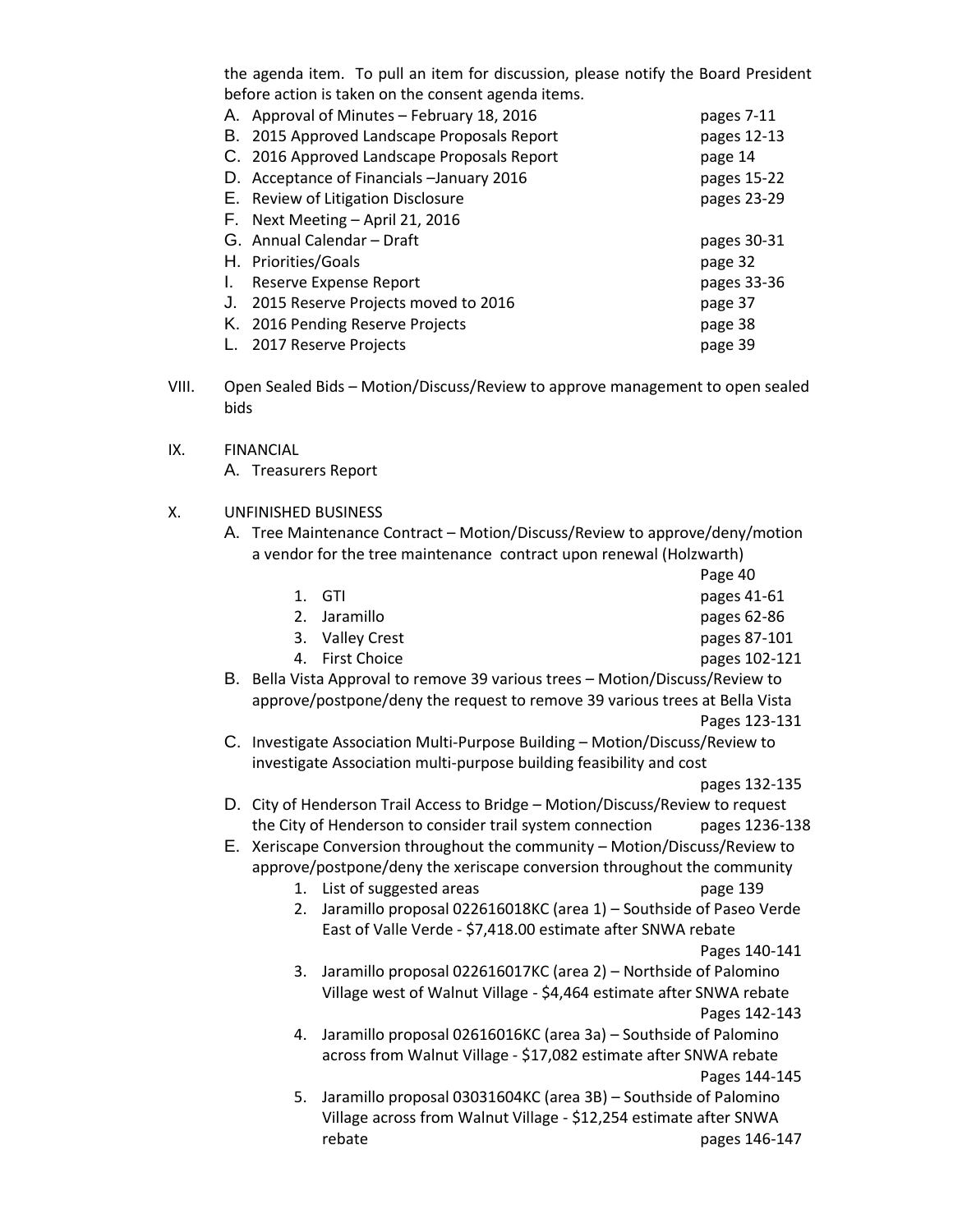the agenda item. To pull an item for discussion, please notify the Board President before action is taken on the consent agenda items.

|    | A. Approval of Minutes - February 18, 2016  | pages 7-11  |
|----|---------------------------------------------|-------------|
|    | B. 2015 Approved Landscape Proposals Report | pages 12-13 |
|    | C. 2016 Approved Landscape Proposals Report | page 14     |
|    | D. Acceptance of Financials - January 2016  | pages 15-22 |
|    | E. Review of Litigation Disclosure          | pages 23-29 |
|    | F. Next Meeting - April 21, 2016            |             |
|    |                                             |             |
|    | G. Annual Calendar - Draft                  | pages 30-31 |
|    | H. Priorities/Goals                         | page 32     |
| Ι. | Reserve Expense Report                      | pages 33-36 |
| J. | 2015 Reserve Projects moved to 2016         | page 37     |
|    | K. 2016 Pending Reserve Projects            | page 38     |

- VIII. Open Sealed Bids Motion/Discuss/Review to approve management to open sealed bids
- IX. FINANCIAL A. Treasurers Report

## X. UNFINISHED BUSINESS

- A. Tree Maintenance Contract Motion/Discuss/Review to approve/deny/motion a vendor for the tree maintenance contract upon renewal (Holzwarth)
	- Page 40 1. GTI 2. Jaramillo pages 62-86 3. Valley Crest pages 87-101 4. First Choice pages 102-121 B. Bella Vista Approval to remove 39 various trees – Motion/Discuss/Review to
	- approve/postpone/deny the request to remove 39 various trees at Bella Vista Pages 123-131
	- C. Investigate Association Multi-Purpose Building Motion/Discuss/Review to investigate Association multi-purpose building feasibility and cost

pages 132-135

- D. City of Henderson Trail Access to Bridge Motion/Discuss/Review to request the City of Henderson to consider trail system connection pages 1236-138
- E. Xeriscape Conversion throughout the community Motion/Discuss/Review to approve/postpone/deny the xeriscape conversion throughout the community
	- 1. List of suggested areas page 139
	- 2. Jaramillo proposal 022616018KC (area 1) Southside of Paseo Verde East of Valle Verde - \$7,418.00 estimate after SNWA rebate

## Pages 140-141

- 3. Jaramillo proposal 022616017KC (area 2) Northside of Palomino Village west of Walnut Village - \$4,464 estimate after SNWA rebate Pages 142-143
- 4. Jaramillo proposal 02616016KC (area 3a) Southside of Palomino across from Walnut Village - \$17,082 estimate after SNWA rebate Pages 144-145
- 5. Jaramillo proposal 03031604KC (area 3B) Southside of Palomino Village across from Walnut Village - \$12,254 estimate after SNWA rebate pages 146-147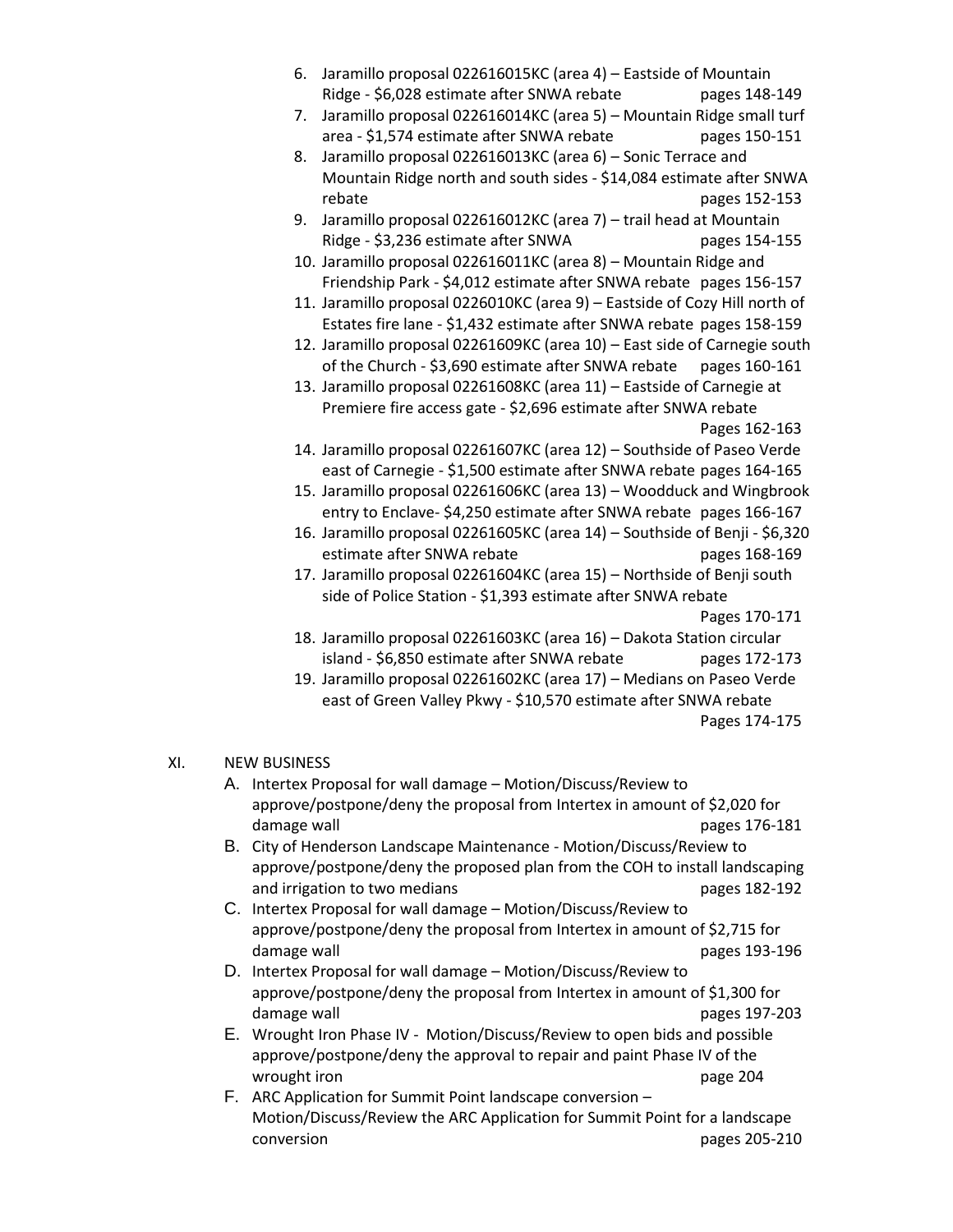- 6. Jaramillo proposal 022616015KC (area 4) Eastside of Mountain Ridge - \$6,028 estimate after SNWA rebate pages 148-149
- 7. Jaramillo proposal 022616014KC (area 5) Mountain Ridge small turf area - \$1,574 estimate after SNWA rebate pages 150-151
- 8. Jaramillo proposal 022616013KC (area 6) Sonic Terrace and Mountain Ridge north and south sides - \$14,084 estimate after SNWA rebate **pages** 152-153
- 9. Jaramillo proposal 022616012KC (area 7) trail head at Mountain Ridge - \$3,236 estimate after SNWA pages 154-155
- 10. Jaramillo proposal 022616011KC (area 8) Mountain Ridge and Friendship Park - \$4,012 estimate after SNWA rebate pages 156-157
- 11. Jaramillo proposal 0226010KC (area 9) Eastside of Cozy Hill north of Estates fire lane - \$1,432 estimate after SNWA rebate pages 158-159
- 12. Jaramillo proposal 02261609KC (area 10) East side of Carnegie south of the Church - \$3,690 estimate after SNWA rebate pages 160-161
- 13. Jaramillo proposal 02261608KC (area 11) Eastside of Carnegie at Premiere fire access gate - \$2,696 estimate after SNWA rebate Pages 162-163
- 14. Jaramillo proposal 02261607KC (area 12) Southside of Paseo Verde east of Carnegie - \$1,500 estimate after SNWA rebate pages 164-165
- 15. Jaramillo proposal 02261606KC (area 13) Woodduck and Wingbrook entry to Enclave- \$4,250 estimate after SNWA rebate pages 166-167
- 16. Jaramillo proposal 02261605KC (area 14) Southside of Benji \$6,320 estimate after SNWA rebate pages 168-169
- 17. Jaramillo proposal 02261604KC (area 15) Northside of Benji south side of Police Station - \$1,393 estimate after SNWA rebate

Pages 170-171

- 18. Jaramillo proposal 02261603KC (area 16) Dakota Station circular island - \$6,850 estimate after SNWA rebate pages 172-173
- 19. Jaramillo proposal 02261602KC (area 17) Medians on Paseo Verde east of Green Valley Pkwy - \$10,570 estimate after SNWA rebate Pages 174-175

## XI. NEW BUSINESS

- A. Intertex Proposal for wall damage Motion/Discuss/Review to approve/postpone/deny the proposal from Intertex in amount of \$2,020 for damage wall **be a good of the contract of the contract of the contract of the contract of the contract of the contract of the contract of the contract of the contract of the contract of the contract of the contract of the**
- B. City of Henderson Landscape Maintenance Motion/Discuss/Review to approve/postpone/deny the proposed plan from the COH to install landscaping and irrigation to two medians and irrigation to two medians
- C. Intertex Proposal for wall damage Motion/Discuss/Review to approve/postpone/deny the proposal from Intertex in amount of \$2,715 for damage wall **be a good of the contract of the contract of the contract of the contract of the contract of the contract of the contract of the contract of the contract of the contract of the contract of the contract of the**
- D. Intertex Proposal for wall damage Motion/Discuss/Review to approve/postpone/deny the proposal from Intertex in amount of \$1,300 for damage wall **be a good of the contract of the contract of the contract of the contract of the contract of the contract of the contract of the contract of the contract of the contract of the contract of the contract of the**
- E. Wrought Iron Phase IV Motion/Discuss/Review to open bids and possible approve/postpone/deny the approval to repair and paint Phase IV of the wrought iron **page 204**
- F. ARC Application for Summit Point landscape conversion Motion/Discuss/Review the ARC Application for Summit Point for a landscape conversion pages 205-210